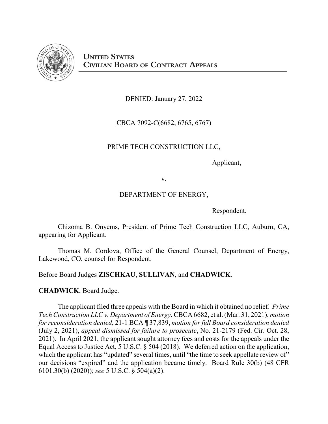

DENIED: January 27, 2022

CBCA 7092-C(6682, 6765, 6767)

## PRIME TECH CONSTRUCTION LLC,

Applicant,

v.

## DEPARTMENT OF ENERGY,

Respondent.

Chizoma B. Onyems, President of Prime Tech Construction LLC, Auburn, CA, appearing for Applicant.

Thomas M. Cordova, Office of the General Counsel, Department of Energy, Lakewood, CO, counsel for Respondent.

Before Board Judges **ZISCHKAU**, **SULLIVAN**, and **CHADWICK**.

**CHADWICK**, Board Judge.

The applicant filed three appeals with the Board in which it obtained no relief. *Prime Tech Construction LLC v. Department of Energy*, CBCA 6682, et al. (Mar. 31, 2021), *motion for reconsideration denied*, 21-1 BCA ¶ 37,839, *motion for full Board consideration denied* (July 2, 2021), *appeal dismissed for failure to prosecute*, No. 21-2179 (Fed. Cir. Oct. 28, 2021). In April 2021, the applicant sought attorney fees and costs for the appeals under the Equal Access to Justice Act, 5 U.S.C. § 504 (2018). We deferred action on the application, which the applicant has "updated" several times, until "the time to seek appellate review of" our decisions "expired" and the application became timely. Board Rule 30(b) (48 CFR 6101.30(b) (2020)); *see* 5 U.S.C. § 504(a)(2).